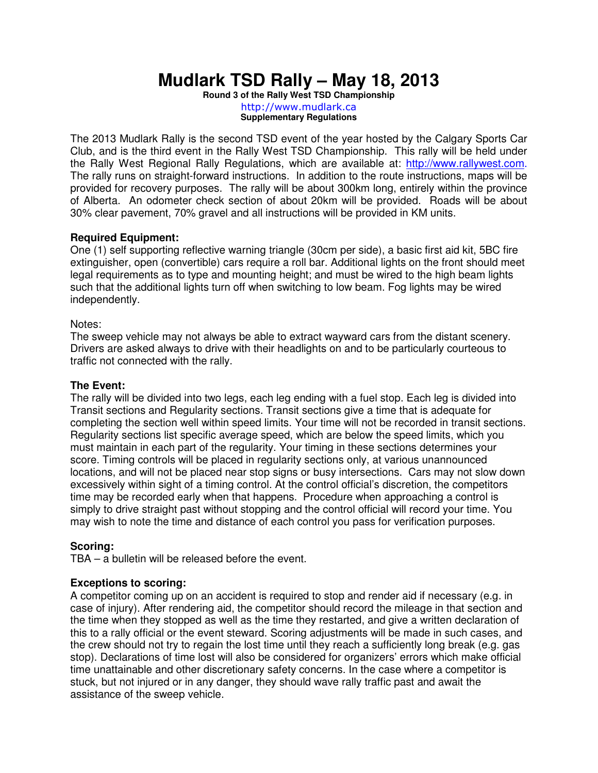# **Mudlark TSD Rally – May 18, 2013**

**Round 3 of the Rally West TSD Championship**  http://www.mudlark.ca **Supplementary Regulations** 

The 2013 Mudlark Rally is the second TSD event of the year hosted by the Calgary Sports Car Club, and is the third event in the Rally West TSD Championship. This rally will be held under the Rally West Regional Rally Regulations, which are available at: http://www.rallywest.com. The rally runs on straight-forward instructions. In addition to the route instructions, maps will be provided for recovery purposes. The rally will be about 300km long, entirely within the province of Alberta. An odometer check section of about 20km will be provided. Roads will be about 30% clear pavement, 70% gravel and all instructions will be provided in KM units.

# **Required Equipment:**

One (1) self supporting reflective warning triangle (30cm per side), a basic first aid kit, 5BC fire extinguisher, open (convertible) cars require a roll bar. Additional lights on the front should meet legal requirements as to type and mounting height; and must be wired to the high beam lights such that the additional lights turn off when switching to low beam. Fog lights may be wired independently.

### Notes:

The sweep vehicle may not always be able to extract wayward cars from the distant scenery. Drivers are asked always to drive with their headlights on and to be particularly courteous to traffic not connected with the rally.

## **The Event:**

The rally will be divided into two legs, each leg ending with a fuel stop. Each leg is divided into Transit sections and Regularity sections. Transit sections give a time that is adequate for completing the section well within speed limits. Your time will not be recorded in transit sections. Regularity sections list specific average speed, which are below the speed limits, which you must maintain in each part of the regularity. Your timing in these sections determines your score. Timing controls will be placed in regularity sections only, at various unannounced locations, and will not be placed near stop signs or busy intersections. Cars may not slow down excessively within sight of a timing control. At the control official's discretion, the competitors time may be recorded early when that happens. Procedure when approaching a control is simply to drive straight past without stopping and the control official will record your time. You may wish to note the time and distance of each control you pass for verification purposes.

# **Scoring:**

TBA – a bulletin will be released before the event.

### **Exceptions to scoring:**

A competitor coming up on an accident is required to stop and render aid if necessary (e.g. in case of injury). After rendering aid, the competitor should record the mileage in that section and the time when they stopped as well as the time they restarted, and give a written declaration of this to a rally official or the event steward. Scoring adjustments will be made in such cases, and the crew should not try to regain the lost time until they reach a sufficiently long break (e.g. gas stop). Declarations of time lost will also be considered for organizers' errors which make official time unattainable and other discretionary safety concerns. In the case where a competitor is stuck, but not injured or in any danger, they should wave rally traffic past and await the assistance of the sweep vehicle.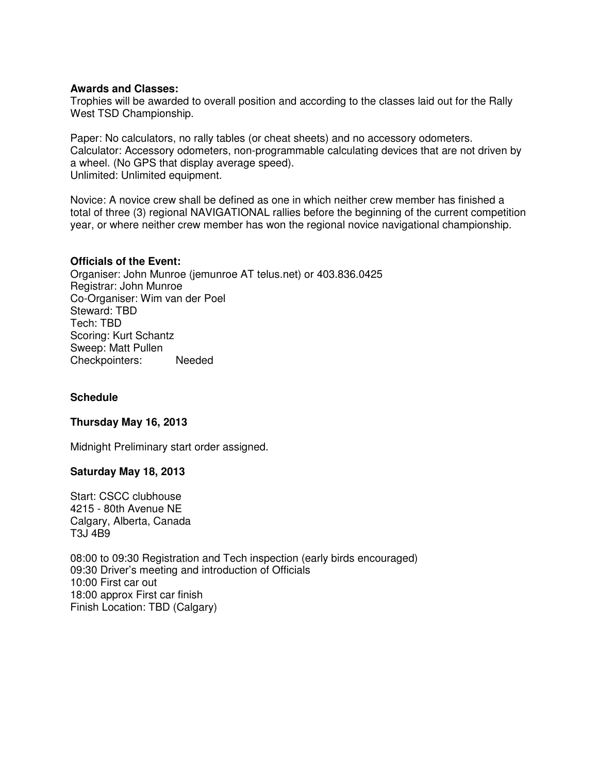### **Awards and Classes:**

Trophies will be awarded to overall position and according to the classes laid out for the Rally West TSD Championship.

Paper: No calculators, no rally tables (or cheat sheets) and no accessory odometers. Calculator: Accessory odometers, non-programmable calculating devices that are not driven by a wheel. (No GPS that display average speed). Unlimited: Unlimited equipment.

Novice: A novice crew shall be defined as one in which neither crew member has finished a total of three (3) regional NAVIGATIONAL rallies before the beginning of the current competition year, or where neither crew member has won the regional novice navigational championship.

#### **Officials of the Event:**

Organiser: John Munroe (jemunroe AT telus.net) or 403.836.0425 Registrar: John Munroe Co-Organiser: Wim van der Poel Steward: TBD Tech: TBD Scoring: Kurt Schantz Sweep: Matt Pullen Checkpointers: Needed

## **Schedule**

### **Thursday May 16, 2013**

Midnight Preliminary start order assigned.

#### **Saturday May 18, 2013**

Start: CSCC clubhouse 4215 - 80th Avenue NE Calgary, Alberta, Canada T3J 4B9

08:00 to 09:30 Registration and Tech inspection (early birds encouraged) 09:30 Driver's meeting and introduction of Officials 10:00 First car out 18:00 approx First car finish Finish Location: TBD (Calgary)